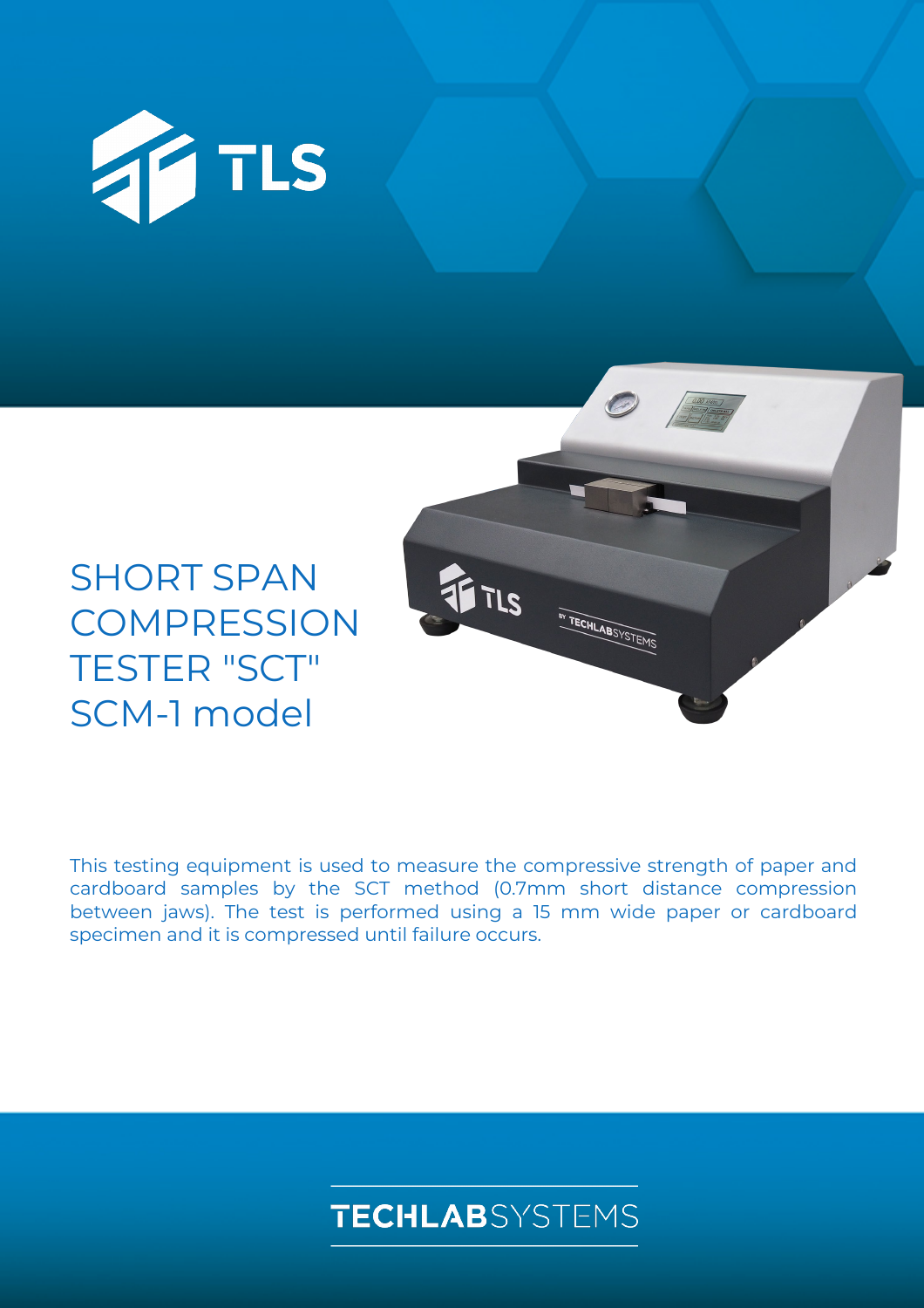

# SHORT SPAN **COMPRESSION** TESTER "SCT" SCM-1 model



This testing equipment is used to measure the compressive strength of paper and cardboard samples by the SCT method (0.7mm short distance compression between jaws). The test is performed using a 15 mm wide paper or cardboard specimen and it is compressed until failure occurs.

## **TECHLAB**SYSTEMS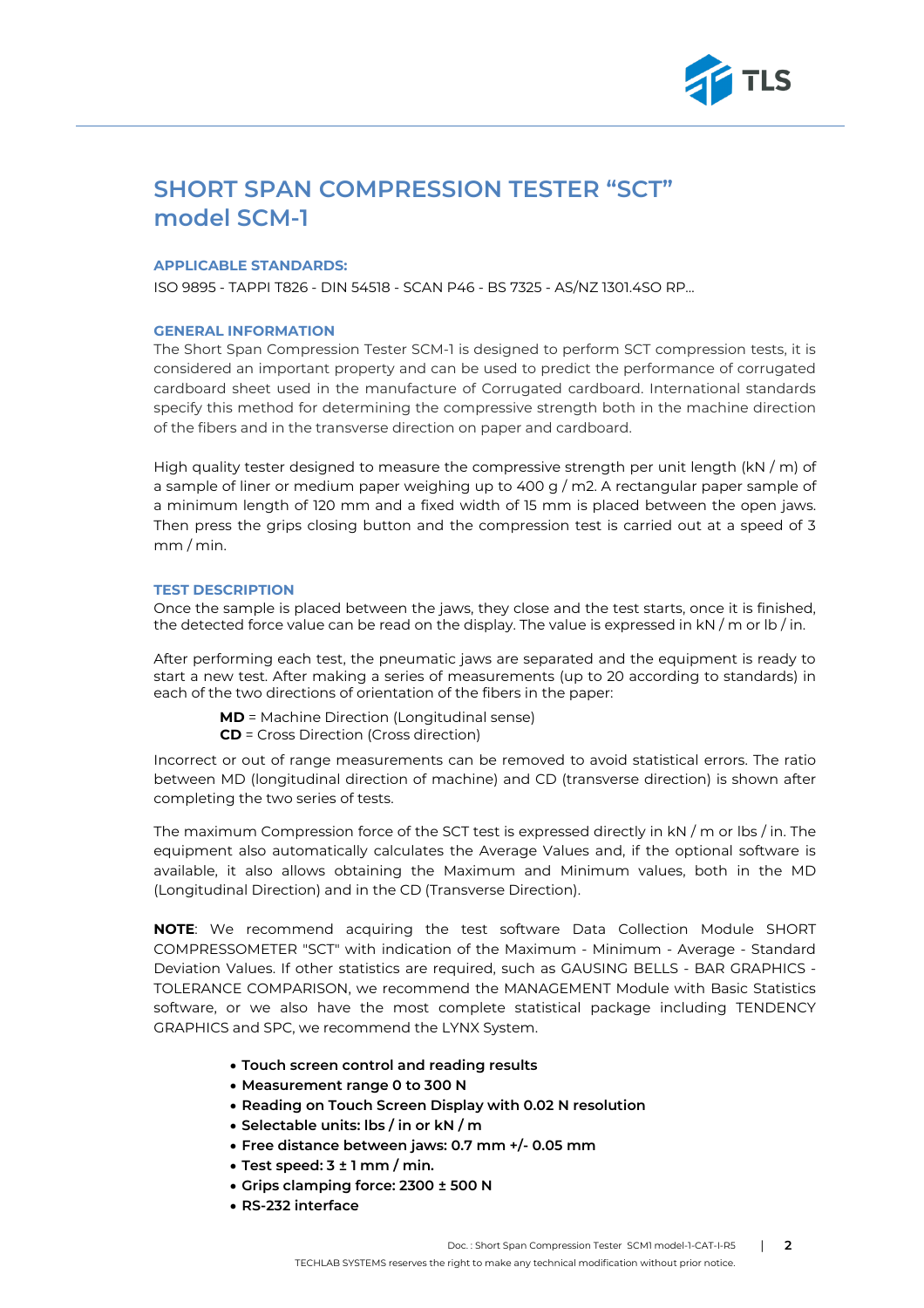

### **SHORT SPAN COMPRESSION TESTER "SCT" model SCM-1**

#### **APPLICABLE STANDARDS:**

ISO 9895 - TAPPI T826 - DIN 54518 - SCAN P46 - BS 7325 - AS/NZ 1301.4SO RP…

#### **GENERAL INFORMATION**

The Short Span Compression Tester SCM-1 is designed to perform SCT compression tests, it is considered an important property and can be used to predict the performance of corrugated cardboard sheet used in the manufacture of Corrugated cardboard. International standards specify this method for determining the compressive strength both in the machine direction of the fibers and in the transverse direction on paper and cardboard.

High quality tester designed to measure the compressive strength per unit length  $(kN / m)$  of a sample of liner or medium paper weighing up to 400 g / m2. A rectangular paper sample of a minimum length of 120 mm and a fixed width of 15 mm is placed between the open jaws. Then press the grips closing button and the compression test is carried out at a speed of 3 mm / min.

#### **TEST DESCRIPTION**

Once the sample is placed between the jaws, they close and the test starts, once it is finished, the detected force value can be read on the display. The value is expressed in kN / m or lb / in.

After performing each test, the pneumatic jaws are separated and the equipment is ready to start a new test. After making a series of measurements (up to 20 according to standards) in each of the two directions of orientation of the fibers in the paper:

**MD** = Machine Direction (Longitudinal sense) **CD** = Cross Direction (Cross direction)

Incorrect or out of range measurements can be removed to avoid statistical errors. The ratio between MD (longitudinal direction of machine) and CD (transverse direction) is shown after completing the two series of tests.

The maximum Compression force of the SCT test is expressed directly in kN / m or lbs / in. The equipment also automatically calculates the Average Values and, if the optional software is available, it also allows obtaining the Maximum and Minimum values, both in the MD (Longitudinal Direction) and in the CD (Transverse Direction).

**NOTE**: We recommend acquiring the test software Data Collection Module SHORT COMPRESSOMETER "SCT" with indication of the Maximum - Minimum - Average - Standard Deviation Values. If other statistics are required, such as GAUSING BELLS - BAR GRAPHICS - TOLERANCE COMPARISON, we recommend the MANAGEMENT Module with Basic Statistics software, or we also have the most complete statistical package including TENDENCY GRAPHICS and SPC, we recommend the LYNX System.

- **Touch screen control and reading results**
- **Measurement range 0 to 300 N**
- **Reading on Touch Screen Display with 0.02 N resolution**
- **Selectable units: lbs / in or kN / m**
- **Free distance between jaws: 0.7 mm +/- 0.05 mm**
- **Test speed: 3 ± 1 mm / min.**
- **Grips clamping force: 2300 ± 500 N**
- **RS-232 interface**